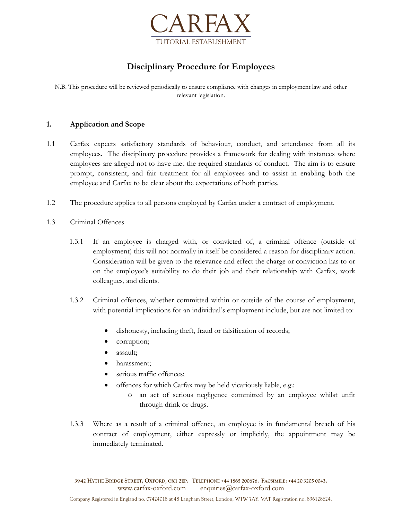

# **Disciplinary Procedure for Employees**

N.B. This procedure will be reviewed periodically to ensure compliance with changes in employment law and other relevant legislation.

### **1. Application and Scope**

- 1.1 Carfax expects satisfactory standards of behaviour, conduct, and attendance from all its employees. The disciplinary procedure provides a framework for dealing with instances where employees are alleged not to have met the required standards of conduct. The aim is to ensure prompt, consistent, and fair treatment for all employees and to assist in enabling both the employee and Carfax to be clear about the expectations of both parties.
- 1.2 The procedure applies to all persons employed by Carfax under a contract of employment.
- 1.3 Criminal Offences
	- 1.3.1 If an employee is charged with, or convicted of, a criminal offence (outside of employment) this will not normally in itself be considered a reason for disciplinary action. Consideration will be given to the relevance and effect the charge or conviction has to or on the employee's suitability to do their job and their relationship with Carfax, work colleagues, and clients.
	- 1.3.2 Criminal offences, whether committed within or outside of the course of employment, with potential implications for an individual's employment include, but are not limited to:
		- dishonesty, including theft, fraud or falsification of records;
		- corruption;
		- assault;
		- harassment;
		- serious traffic offences;
		- offences for which Carfax may be held vicariously liable, e.g.:
			- o an act of serious negligence committed by an employee whilst unfit through drink or drugs.
	- 1.3.3 Where as a result of a criminal offence, an employee is in fundamental breach of his contract of employment, either expressly or implicitly, the appointment may be immediately terminated.

39-42 HYTHE BRIDGE STREET, OXFORD, OX1 2EP. TELEPHONE +44 1865 200676. FACSIMILE: +44 20 3205 0043. www.carfax-oxford.com enquiries@carfax-oxford.com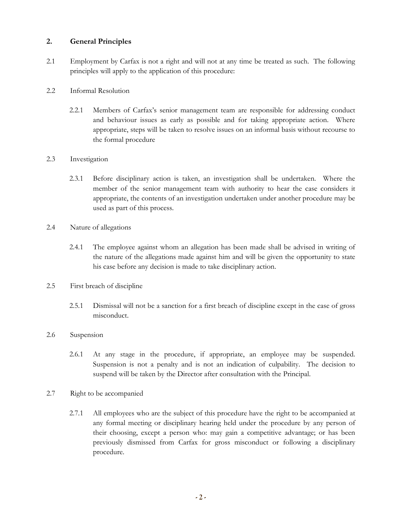## **2. General Principles**

2.1 Employment by Carfax is not a right and will not at any time be treated as such. The following principles will apply to the application of this procedure:

## 2.2 Informal Resolution

2.2.1 Members of Carfax's senior management team are responsible for addressing conduct and behaviour issues as early as possible and for taking appropriate action. Where appropriate, steps will be taken to resolve issues on an informal basis without recourse to the formal procedure

## 2.3 Investigation

- 2.3.1 Before disciplinary action is taken, an investigation shall be undertaken. Where the member of the senior management team with authority to hear the case considers it appropriate, the contents of an investigation undertaken under another procedure may be used as part of this process.
- 2.4 Nature of allegations
	- 2.4.1 The employee against whom an allegation has been made shall be advised in writing of the nature of the allegations made against him and will be given the opportunity to state his case before any decision is made to take disciplinary action.
- 2.5 First breach of discipline
	- 2.5.1 Dismissal will not be a sanction for a first breach of discipline except in the case of gross misconduct.

## 2.6 Suspension

- 2.6.1 At any stage in the procedure, if appropriate, an employee may be suspended. Suspension is not a penalty and is not an indication of culpability. The decision to suspend will be taken by the Director after consultation with the Principal.
- 2.7 Right to be accompanied
	- 2.7.1 All employees who are the subject of this procedure have the right to be accompanied at any formal meeting or disciplinary hearing held under the procedure by any person of their choosing, except a person who: may gain a competitive advantage; or has been previously dismissed from Carfax for gross misconduct or following a disciplinary procedure.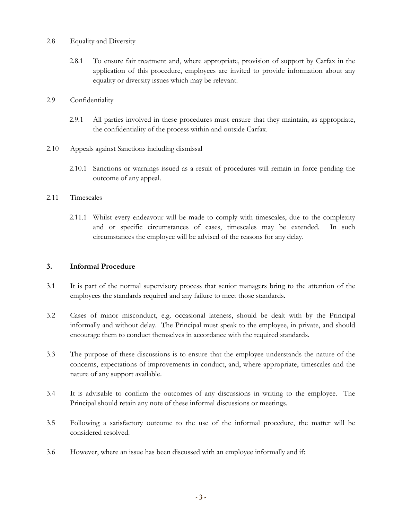#### 2.8 Equality and Diversity

2.8.1 To ensure fair treatment and, where appropriate, provision of support by Carfax in the application of this procedure, employees are invited to provide information about any equality or diversity issues which may be relevant.

#### 2.9 Confidentiality

- 2.9.1 All parties involved in these procedures must ensure that they maintain, as appropriate, the confidentiality of the process within and outside Carfax.
- 2.10 Appeals against Sanctions including dismissal
	- 2.10.1 Sanctions or warnings issued as a result of procedures will remain in force pending the outcome of any appeal.

#### 2.11 Timescales

2.11.1 Whilst every endeavour will be made to comply with timescales, due to the complexity and or specific circumstances of cases, timescales may be extended. In such circumstances the employee will be advised of the reasons for any delay.

## **3. Informal Procedure**

- 3.1 It is part of the normal supervisory process that senior managers bring to the attention of the employees the standards required and any failure to meet those standards.
- 3.2 Cases of minor misconduct, e.g. occasional lateness, should be dealt with by the Principal informally and without delay. The Principal must speak to the employee, in private, and should encourage them to conduct themselves in accordance with the required standards.
- 3.3 The purpose of these discussions is to ensure that the employee understands the nature of the concerns, expectations of improvements in conduct, and, where appropriate, timescales and the nature of any support available.
- 3.4 It is advisable to confirm the outcomes of any discussions in writing to the employee. The Principal should retain any note of these informal discussions or meetings.
- 3.5 Following a satisfactory outcome to the use of the informal procedure, the matter will be considered resolved.
- 3.6 However, where an issue has been discussed with an employee informally and if: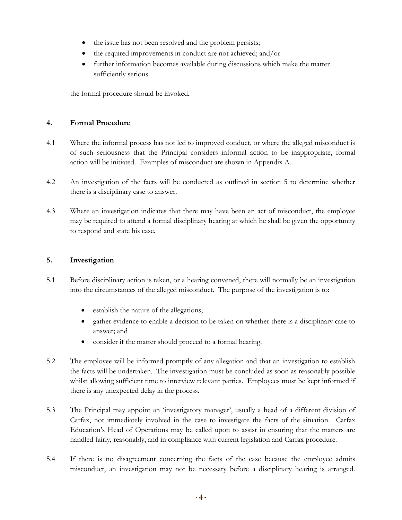- the issue has not been resolved and the problem persists;
- the required improvements in conduct are not achieved; and/or
- further information becomes available during discussions which make the matter sufficiently serious

the formal procedure should be invoked.

### **4. Formal Procedure**

- 4.1 Where the informal process has not led to improved conduct, or where the alleged misconduct is of such seriousness that the Principal considers informal action to be inappropriate, formal action will be initiated. Examples of misconduct are shown in Appendix A.
- 4.2 An investigation of the facts will be conducted as outlined in section 5 to determine whether there is a disciplinary case to answer.
- 4.3 Where an investigation indicates that there may have been an act of misconduct, the employee may be required to attend a formal disciplinary hearing at which he shall be given the opportunity to respond and state his case.

#### **5. Investigation**

- 5.1 Before disciplinary action is taken, or a hearing convened, there will normally be an investigation into the circumstances of the alleged misconduct. The purpose of the investigation is to:
	- establish the nature of the allegations;
	- gather evidence to enable a decision to be taken on whether there is a disciplinary case to answer; and
	- consider if the matter should proceed to a formal hearing.
- 5.2 The employee will be informed promptly of any allegation and that an investigation to establish the facts will be undertaken. The investigation must be concluded as soon as reasonably possible whilst allowing sufficient time to interview relevant parties. Employees must be kept informed if there is any unexpected delay in the process.
- 5.3 The Principal may appoint an 'investigatory manager', usually a head of a different division of Carfax, not immediately involved in the case to investigate the facts of the situation. Carfax Education's Head of Operations may be called upon to assist in ensuring that the matters are handled fairly, reasonably, and in compliance with current legislation and Carfax procedure.
- 5.4 If there is no disagreement concerning the facts of the case because the employee admits misconduct, an investigation may not be necessary before a disciplinary hearing is arranged.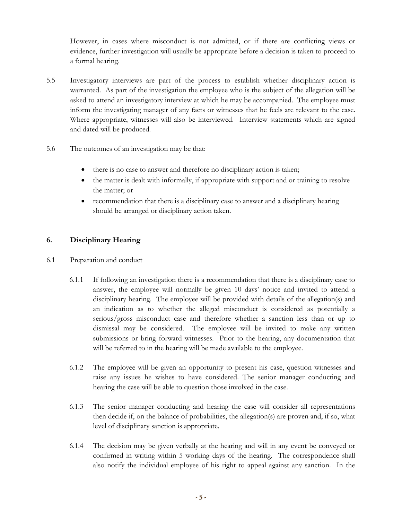However, in cases where misconduct is not admitted, or if there are conflicting views or evidence, further investigation will usually be appropriate before a decision is taken to proceed to a formal hearing.

- 5.5 Investigatory interviews are part of the process to establish whether disciplinary action is warranted. As part of the investigation the employee who is the subject of the allegation will be asked to attend an investigatory interview at which he may be accompanied. The employee must inform the investigating manager of any facts or witnesses that he feels are relevant to the case. Where appropriate, witnesses will also be interviewed. Interview statements which are signed and dated will be produced.
- 5.6 The outcomes of an investigation may be that:
	- there is no case to answer and therefore no disciplinary action is taken;
	- the matter is dealt with informally, if appropriate with support and or training to resolve the matter; or
	- recommendation that there is a disciplinary case to answer and a disciplinary hearing should be arranged or disciplinary action taken.

# **6. Disciplinary Hearing**

- 6.1 Preparation and conduct
	- 6.1.1 If following an investigation there is a recommendation that there is a disciplinary case to answer, the employee will normally be given 10 days' notice and invited to attend a disciplinary hearing. The employee will be provided with details of the allegation(s) and an indication as to whether the alleged misconduct is considered as potentially a serious/gross misconduct case and therefore whether a sanction less than or up to dismissal may be considered. The employee will be invited to make any written submissions or bring forward witnesses. Prior to the hearing, any documentation that will be referred to in the hearing will be made available to the employee.
	- 6.1.2 The employee will be given an opportunity to present his case, question witnesses and raise any issues he wishes to have considered. The senior manager conducting and hearing the case will be able to question those involved in the case.
	- 6.1.3 The senior manager conducting and hearing the case will consider all representations then decide if, on the balance of probabilities, the allegation(s) are proven and, if so, what level of disciplinary sanction is appropriate.
	- 6.1.4 The decision may be given verbally at the hearing and will in any event be conveyed or confirmed in writing within 5 working days of the hearing. The correspondence shall also notify the individual employee of his right to appeal against any sanction. In the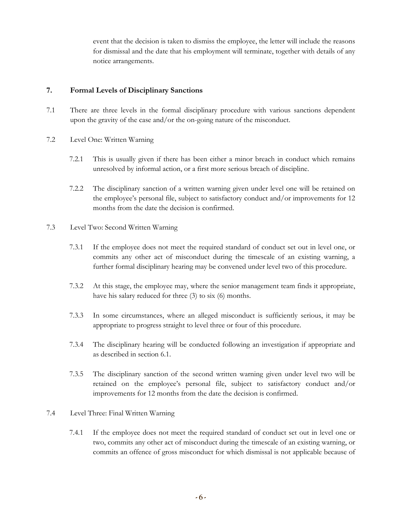event that the decision is taken to dismiss the employee, the letter will include the reasons for dismissal and the date that his employment will terminate, together with details of any notice arrangements.

# **7. Formal Levels of Disciplinary Sanctions**

- 7.1 There are three levels in the formal disciplinary procedure with various sanctions dependent upon the gravity of the case and/or the on-going nature of the misconduct.
- 7.2 Level One: Written Warning
	- 7.2.1 This is usually given if there has been either a minor breach in conduct which remains unresolved by informal action, or a first more serious breach of discipline.
	- 7.2.2 The disciplinary sanction of a written warning given under level one will be retained on the employee's personal file, subject to satisfactory conduct and/or improvements for 12 months from the date the decision is confirmed.
- 7.3 Level Two: Second Written Warning
	- 7.3.1 If the employee does not meet the required standard of conduct set out in level one, or commits any other act of misconduct during the timescale of an existing warning, a further formal disciplinary hearing may be convened under level two of this procedure.
	- 7.3.2 At this stage, the employee may, where the senior management team finds it appropriate, have his salary reduced for three (3) to six (6) months.
	- 7.3.3 In some circumstances, where an alleged misconduct is sufficiently serious, it may be appropriate to progress straight to level three or four of this procedure.
	- 7.3.4 The disciplinary hearing will be conducted following an investigation if appropriate and as described in section 6.1.
	- 7.3.5 The disciplinary sanction of the second written warning given under level two will be retained on the employee's personal file, subject to satisfactory conduct and/or improvements for 12 months from the date the decision is confirmed.
- 7.4 Level Three: Final Written Warning
	- 7.4.1 If the employee does not meet the required standard of conduct set out in level one or two, commits any other act of misconduct during the timescale of an existing warning, or commits an offence of gross misconduct for which dismissal is not applicable because of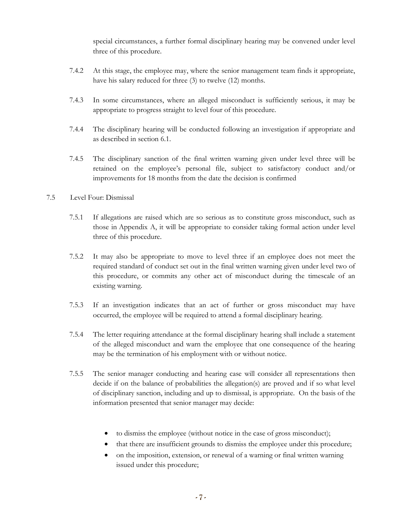special circumstances, a further formal disciplinary hearing may be convened under level three of this procedure.

- 7.4.2 At this stage, the employee may, where the senior management team finds it appropriate, have his salary reduced for three (3) to twelve (12) months.
- 7.4.3 In some circumstances, where an alleged misconduct is sufficiently serious, it may be appropriate to progress straight to level four of this procedure.
- 7.4.4 The disciplinary hearing will be conducted following an investigation if appropriate and as described in section 6.1.
- 7.4.5 The disciplinary sanction of the final written warning given under level three will be retained on the employee's personal file, subject to satisfactory conduct and/or improvements for 18 months from the date the decision is confirmed

#### 7.5 Level Four: Dismissal

- 7.5.1 If allegations are raised which are so serious as to constitute gross misconduct, such as those in Appendix A, it will be appropriate to consider taking formal action under level three of this procedure.
- 7.5.2 It may also be appropriate to move to level three if an employee does not meet the required standard of conduct set out in the final written warning given under level two of this procedure, or commits any other act of misconduct during the timescale of an existing warning.
- 7.5.3 If an investigation indicates that an act of further or gross misconduct may have occurred, the employee will be required to attend a formal disciplinary hearing.
- 7.5.4 The letter requiring attendance at the formal disciplinary hearing shall include a statement of the alleged misconduct and warn the employee that one consequence of the hearing may be the termination of his employment with or without notice.
- 7.5.5 The senior manager conducting and hearing case will consider all representations then decide if on the balance of probabilities the allegation(s) are proved and if so what level of disciplinary sanction, including and up to dismissal, is appropriate. On the basis of the information presented that senior manager may decide:
	- to dismiss the employee (without notice in the case of gross misconduct);
	- that there are insufficient grounds to dismiss the employee under this procedure;
	- on the imposition, extension, or renewal of a warning or final written warning issued under this procedure;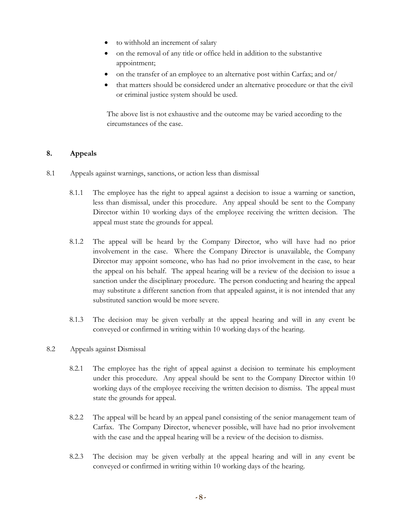- to withhold an increment of salary
- on the removal of any title or office held in addition to the substantive appointment;
- on the transfer of an employee to an alternative post within Carfax; and or/
- that matters should be considered under an alternative procedure or that the civil or criminal justice system should be used.

The above list is not exhaustive and the outcome may be varied according to the circumstances of the case.

## **8. Appeals**

- 8.1 Appeals against warnings, sanctions, or action less than dismissal
	- 8.1.1 The employee has the right to appeal against a decision to issue a warning or sanction, less than dismissal, under this procedure. Any appeal should be sent to the Company Director within 10 working days of the employee receiving the written decision. The appeal must state the grounds for appeal.
	- 8.1.2 The appeal will be heard by the Company Director, who will have had no prior involvement in the case. Where the Company Director is unavailable, the Company Director may appoint someone, who has had no prior involvement in the case, to hear the appeal on his behalf. The appeal hearing will be a review of the decision to issue a sanction under the disciplinary procedure. The person conducting and hearing the appeal may substitute a different sanction from that appealed against, it is not intended that any substituted sanction would be more severe.
	- 8.1.3 The decision may be given verbally at the appeal hearing and will in any event be conveyed or confirmed in writing within 10 working days of the hearing.
- 8.2 Appeals against Dismissal
	- 8.2.1 The employee has the right of appeal against a decision to terminate his employment under this procedure. Any appeal should be sent to the Company Director within 10 working days of the employee receiving the written decision to dismiss. The appeal must state the grounds for appeal.
	- 8.2.2 The appeal will be heard by an appeal panel consisting of the senior management team of Carfax. The Company Director, whenever possible, will have had no prior involvement with the case and the appeal hearing will be a review of the decision to dismiss.
	- 8.2.3 The decision may be given verbally at the appeal hearing and will in any event be conveyed or confirmed in writing within 10 working days of the hearing.